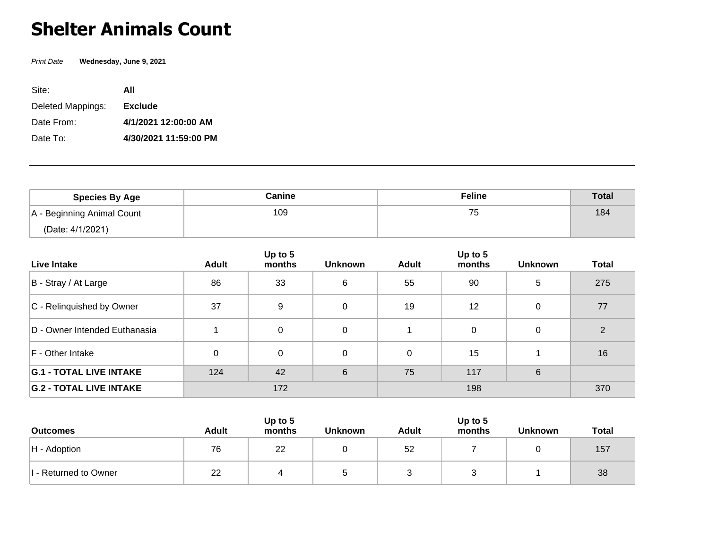## **Shelter Animals Count**

Print Date **Wednesday, June 9, 2021**

| Site:             | ΑII                   |
|-------------------|-----------------------|
| Deleted Mappings: | <b>Exclude</b>        |
| Date From:        | 4/1/2021 12:00:00 AM  |
| Date To:          | 4/30/2021 11:59:00 PM |

| <b>Species By Age</b>      | Canine | <b>Feline</b> | <b>Total</b> |
|----------------------------|--------|---------------|--------------|
| A - Beginning Animal Count | 109    | --<br>◡       | 184          |
| (Date: 4/1/2021)           |        |               |              |

| Live Intake                    | <b>Adult</b> | Up to 5<br>months | <b>Unknown</b> | <b>Adult</b> | Up to 5<br>months | <b>Unknown</b> | <b>Total</b> |
|--------------------------------|--------------|-------------------|----------------|--------------|-------------------|----------------|--------------|
| B - Stray / At Large           | 86           | 33                | 6              | 55           | 90                | 5              | 275          |
| C - Relinquished by Owner      | 37           | 9                 | $\Omega$       | 19           | 12                | $\Omega$       | 77           |
| D - Owner Intended Euthanasia  |              | $\mathbf{0}$      | $\Omega$       |              | 0                 | $\Omega$       | 2            |
| F - Other Intake               | 0            | $\Omega$          | $\Omega$       | 0            | 15                |                | 16           |
| <b>G.1 - TOTAL LIVE INTAKE</b> | 124          | 42                | 6              | 75           | 117               | 6              |              |
| <b>G.2 - TOTAL LIVE INTAKE</b> | 172          |                   |                | 198          |                   |                | 370          |

| <b>Outcomes</b>       | <b>Adult</b> | Up to $5$<br>months | <b>Unknown</b> | <b>Adult</b> | Up to 5<br>months | <b>Unknown</b> | <b>Total</b> |
|-----------------------|--------------|---------------------|----------------|--------------|-------------------|----------------|--------------|
| $H -$ Adoption        | 76           | 22                  |                | 52           |                   |                | 157          |
| I - Returned to Owner | 22           |                     |                |              |                   |                | 38           |